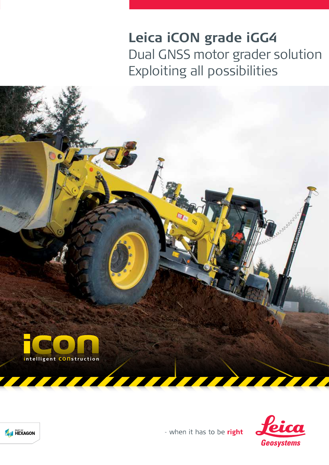# **Leica iCON grade iGG4** Dual GNSS motor grader solution Exploiting all possibilities





- when it has to be right

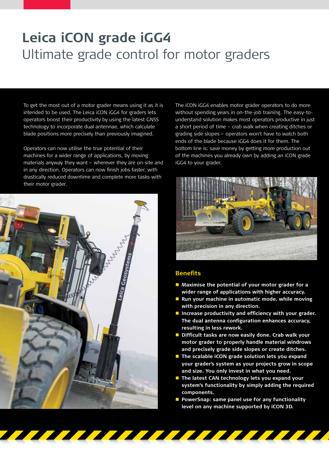## **Leica iCON grade iGG4**  Ultimate grade control for motor graders

 To get the most out of a motor grader means using it as it is intended to be used. The Leica iCON iGG4 for graders lets operators boost their productivity by using the latest GNSS technology to incorporate dual antennae, which calculate blade positions more precisely than previously imagined.

Operators can now utilise the true potential of their machines for a wider range of applications, by moving materials anyway they want – wherever they are on-site and in any direction. Operators can now finish jobs faster, with drastically reduced downtime and complete more tasks with their motor grader.



The iCON iGG4 enables motor grader operators to do more without spending years in on-the-job training. The easy-tounderstand solution makes most operators productive in just a short period of time – crab walk when creating ditches or grading side slopes – operators won't have to watch both ends of the blade because iGG4 does it for them. The bottom line is: save money by getting more production out of the machines you already own by adding an iCON grade iGG4 to your grader.



#### **Benefits**

<u>The The Theodore and the Theodore and the Theodore and the Theodore and the Theodore and the Theodore and the T</u>

- **Maximise the potential of your motor grader for a wider range of applications with higher accuracy.**
- **Run your machine in automatic mode, while moving with precision in any direction.**
- **Increase productivity and efficiency with your grader. The dual antenna configuration enhances accuracy, resulting in less rework.**
- **Difficult tasks are now easily done. Crab walk your motor grader to properly handle material windrows and precisely grade side slopes or create ditches.**
- **The scalable iCON grade solution lets you expand your grader's system as your projects grow in scope and size. You only invest in what you need.**
- **The latest CAN technology lets you expand your system's functionality by simply adding the required components.**
- **PowerSnap: same panel use for any functionality level on any machine supported by iCON 3D.**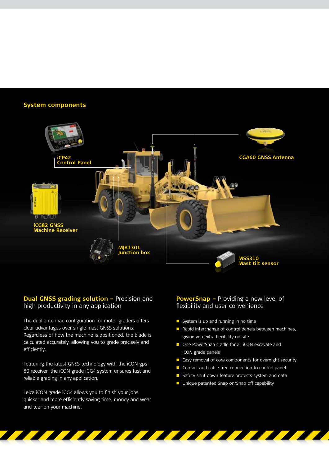## **System components**



## **Dual GNSS grading solution - Precision and** high productivity in any application

The dual antennae configuration for motor graders offers clear advantages over single mast GNSS solutions. Regardless of how the machine is positioned, the blade is calculated accurately, allowing you to grade precisely and efficiently.

Featuring the latest GNSS technology with the iCON gps 80 receiver, the iCON grade iGG4 system ensures fast and reliable grading in any application.

Leica iCON grade iGG4 allows you to finish your jobs quicker and more efficiently saving time, money and wear and tear on your machine.

## **PowerSnap –** Providing a new level of flexibility and user convenience

- System is up and running in no time
- Rapid interchange of control panels between machines, giving you extra flexibility on site
- One PowerSnap cradle for all iCON excavate and iCON grade panels
- **E** Easy removal of core components for overnight security
- Contact and cable free connection to control panel
- Safety shut down feature protects system and data
- **Unique patented Snap on/Snap off capability**

<u>a shekara ta 1991 a shekara ta 1991 a shekara ta 1991 a shekara ta 1991 a shekara ta 1991 a shekara ta 1991 a </u>